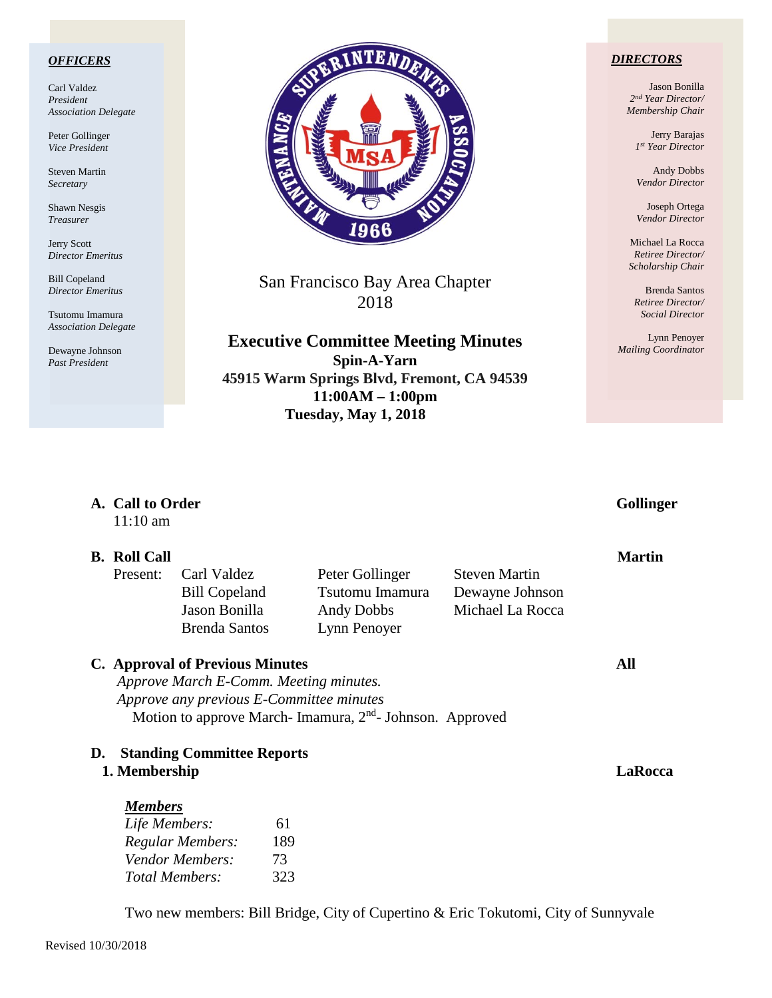### *OFFICERS*

Carl Valdez *President Association Delegate*

Peter Gollinger *Vice President*

Steven Martin *Secretary*

Shawn Nesgis *Treasurer*

Jerry Scott *Director Emeritus*

Bill Copeland *Director Emeritus*

Tsutomu Imamura *Association Delegate*

Dewayne Johnson *Past President*



San Francisco Bay Area Chapter 2018

**Executive Committee Meeting Minutes Spin-A-Yarn 45915 Warm Springs Blvd, Fremont, CA 94539 11:00AM – 1:00pm Tuesday, May 1, 2018**

**A. Call to Order Gollinger**

### *DIRECTORS*

Jason Bonilla *2nd Year Director/ Membership Chair*

> Jerry Barajas *1st Year Director*

Andy Dobbs *Vendor Director*

Joseph Ortega *Vendor Director*

Michael La Rocca *Retiree Director/ Scholarship Chair*

Brenda Santos *Retiree Director/ Social Director*

Lynn Penoyer *Mailing Coordinator*

| $11:10$ am          |                                                                                    |                                                                     |                      | $\mathbf{v}$  |
|---------------------|------------------------------------------------------------------------------------|---------------------------------------------------------------------|----------------------|---------------|
| <b>B.</b> Roll Call |                                                                                    |                                                                     |                      | <b>Martin</b> |
| Present:            | Carl Valdez                                                                        | Peter Gollinger                                                     | <b>Steven Martin</b> |               |
|                     | <b>Bill Copeland</b>                                                               | Tsutomu Imamura                                                     | Dewayne Johnson      |               |
|                     | Jason Bonilla                                                                      | Andy Dobbs                                                          | Michael La Rocca     |               |
|                     | <b>Brenda Santos</b>                                                               | Lynn Penoyer                                                        |                      |               |
|                     | <b>C.</b> Approval of Previous Minutes                                             |                                                                     |                      | All           |
|                     |                                                                                    |                                                                     |                      |               |
|                     |                                                                                    |                                                                     |                      |               |
|                     | Approve March E-Comm. Meeting minutes.<br>Approve any previous E-Committee minutes |                                                                     |                      |               |
|                     |                                                                                    | Motion to approve March-Imamura, 2 <sup>nd</sup> -Johnson. Approved |                      |               |
|                     |                                                                                    |                                                                     |                      |               |
| D.<br>1. Membership | <b>Standing Committee Reports</b>                                                  |                                                                     |                      | LaRocca       |
|                     |                                                                                    |                                                                     |                      |               |
| <b>Members</b>      |                                                                                    |                                                                     |                      |               |
| Life Members:       | 61                                                                                 |                                                                     |                      |               |
|                     | <b>Regular Members:</b><br>189                                                     |                                                                     |                      |               |
|                     | Vendor Members:<br>73                                                              |                                                                     |                      |               |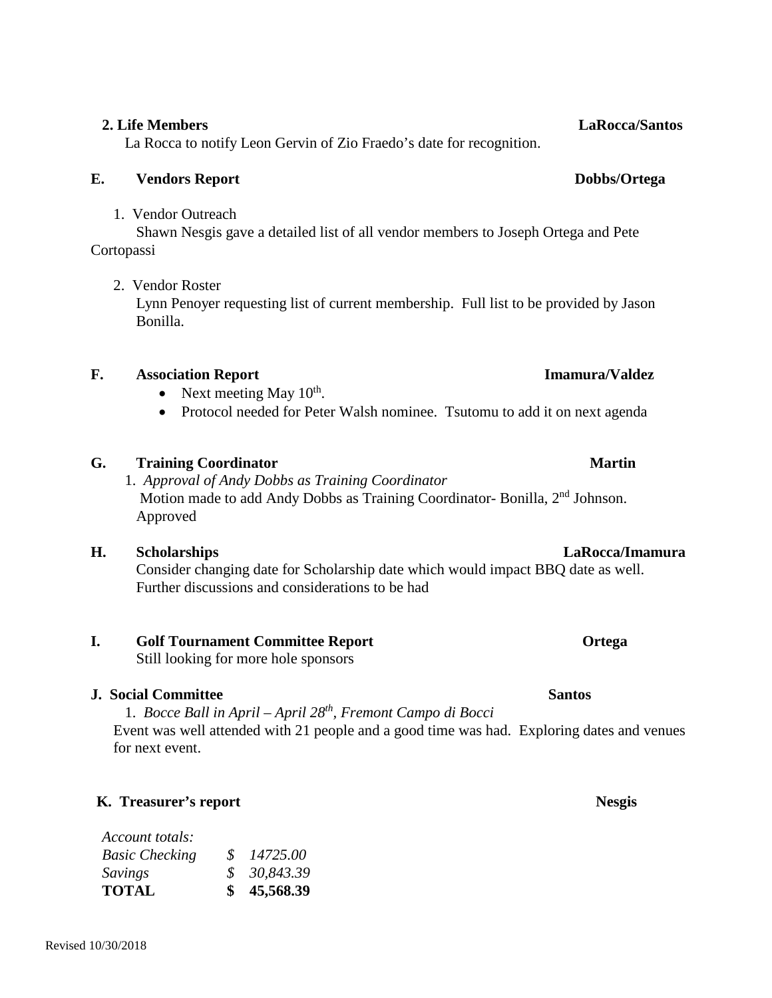La Rocca to notify Leon Gervin of Zio Fraedo's date for recognition.

## **E. Vendors Report Dobbs/Ortega**

1. Vendor Outreach

Shawn Nesgis gave a detailed list of all vendor members to Joseph Ortega and Pete Cortopassi

## 2. Vendor Roster

Lynn Penoyer requesting list of current membership. Full list to be provided by Jason Bonilla.

## **F. Association Report Imamura/Valdez**

- Next meeting May  $10^{th}$ .
- Protocol needed for Peter Walsh nominee. Tsutomu to add it on next agenda

## **G. Training Coordinator Martin**

1. *Approval of Andy Dobbs as Training Coordinator* Motion made to add Andy Dobbs as Training Coordinator- Bonilla, 2nd Johnson. Approved

## **H. Scholarships LaRocca/Imamura**

Consider changing date for Scholarship date which would impact BBQ date as well. Further discussions and considerations to be had

## **I. Golf Tournament Committee Report <b>Committee Report Ortega**

Still looking for more hole sponsors

## **J. Social Committee Santos Santos**

1. *Bocce Ball in April – April 28th, Fremont Campo di Bocci* Event was well attended with 21 people and a good time was had. Exploring dates and venues for next event.

# **K. Treasurer's report Nesgis**

| <b>TOTAL</b>          | \$45,568.39 |  |
|-----------------------|-------------|--|
| Savings               | \$30,843.39 |  |
| <b>Basic Checking</b> | \$14725.00  |  |
| Account totals:       |             |  |

## **2. Life Members LaRocca/Santos**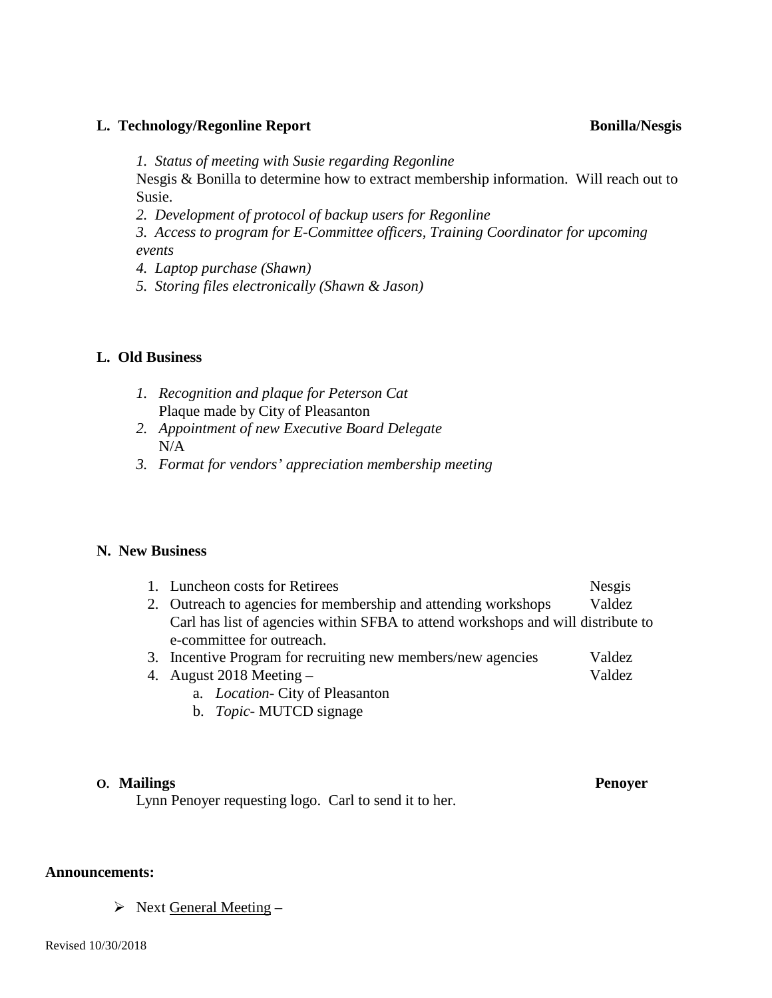### **L. Technology/Regonline Report Bonilla/Nesgis**

*1. Status of meeting with Susie regarding Regonline*

Nesgis & Bonilla to determine how to extract membership information. Will reach out to Susie.

*2. Development of protocol of backup users for Regonline*

*3. Access to program for E-Committee officers, Training Coordinator for upcoming events*

*4. Laptop purchase (Shawn)*

*5. Storing files electronically (Shawn & Jason)*

### **L. Old Business**

- *1. Recognition and plaque for Peterson Cat* Plaque made by City of Pleasanton
- *2. Appointment of new Executive Board Delegate*  $N/A$
- *3. Format for vendors' appreciation membership meeting*

## **N. New Business**

| 1. Luncheon costs for Retirees                                                   | Nesgis |
|----------------------------------------------------------------------------------|--------|
| 2. Outreach to agencies for membership and attending workshops                   | Valdez |
| Carl has list of agencies within SFBA to attend workshops and will distribute to |        |
| e-committee for outreach.                                                        |        |
| 3. Incentive Program for recruiting new members/new agencies                     | Valdez |

- 4. August 2018 Meeting Valdez
	- a. *Location-* City of Pleasanton
	- b. *Topic* MUTCD signage

### **O. Mailings Penoyer**

Lynn Penoyer requesting logo. Carl to send it to her.

### **Announcements:**

 $\triangleright$  Next General Meeting –